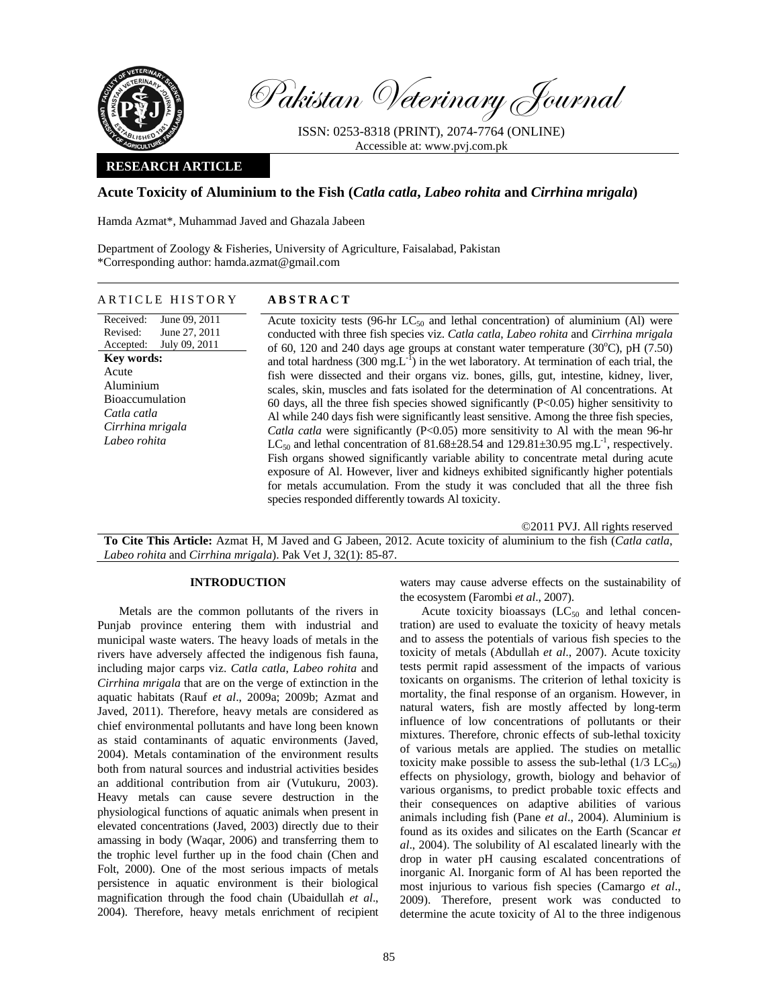

Pakistan Veterinary Journal

ISSN: 0253-8318 (PRINT), 2074-7764 (ONLINE) Accessible at: www.pvj.com.pk

## **RESEARCH ARTICLE**

# **Acute Toxicity of Aluminium to the Fish (***Catla catla***,** *Labeo rohita* **and** *Cirrhina mrigala***)**

Hamda Azmat\*, Muhammad Javed and Ghazala Jabeen

Department of Zoology & Fisheries, University of Agriculture, Faisalabad, Pakistan \*Corresponding author: hamda.azmat@gmail.com

Received: Revised: Accepted: June 09, 2011 June 27, 2011 July 09, 2011 **Key words:**  Acute Aluminium Bioaccumulation *Catla catla Cirrhina mrigala Labeo rohita* 

Acute toxicity tests (96-hr  $LC_{50}$  and lethal concentration) of aluminium (Al) were conducted with three fish species viz. *Catla catla*, *Labeo rohita* and *Cirrhina mrigala* of 60, 120 and 240 days age groups at constant water temperature  $(30^{\circ}$ C), pH $(7.50)$ and total hardness (300 mg. $L^{-1}$ ) in the wet laboratory. At termination of each trial, the fish were dissected and their organs viz. bones, gills, gut, intestine, kidney, liver, scales, skin, muscles and fats isolated for the determination of Al concentrations. At 60 days, all the three fish species showed significantly  $(P<0.05)$  higher sensitivity to Al while 240 days fish were significantly least sensitive. Among the three fish species, *Catla catla* were significantly (P<0.05) more sensitivity to Al with the mean 96-hr  $LC_{50}$  and lethal concentration of 81.68 $\pm$ 28.54 and 129.81 $\pm$ 30.95 mg.L<sup>-1</sup>, respectively. Fish organs showed significantly variable ability to concentrate metal during acute exposure of Al. However, liver and kidneys exhibited significantly higher potentials for metals accumulation. From the study it was concluded that all the three fish species responded differently towards Al toxicity.

©2011 PVJ. All rights reserved

**To Cite This Article:** Azmat H, M Javed and G Jabeen, 2012. Acute toxicity of aluminium to the fish (*Catla catla*, *Labeo rohita* and *Cirrhina mrigala*). Pak Vet J, 32(1): 85-87.

# **INTRODUCTION**

Metals are the common pollutants of the rivers in Punjab province entering them with industrial and municipal waste waters. The heavy loads of metals in the rivers have adversely affected the indigenous fish fauna, including major carps viz. *Catla catla*, *Labeo rohita* and *Cirrhina mrigala* that are on the verge of extinction in the aquatic habitats (Rauf *et al*., 2009a; 2009b; Azmat and Javed, 2011). Therefore, heavy metals are considered as chief environmental pollutants and have long been known as staid contaminants of aquatic environments (Javed, 2004). Metals contamination of the environment results both from natural sources and industrial activities besides an additional contribution from air (Vutukuru, 2003). Heavy metals can cause severe destruction in the physiological functions of aquatic animals when present in elevated concentrations (Javed, 2003) directly due to their amassing in body (Waqar, 2006) and transferring them to the trophic level further up in the food chain (Chen and Folt, 2000). One of the most serious impacts of metals persistence in aquatic environment is their biological magnification through the food chain (Ubaidullah *et al*., 2004). Therefore, heavy metals enrichment of recipient waters may cause adverse effects on the sustainability of the ecosystem (Farombi *et al*., 2007).

Acute toxicity bioassays  $(LC_{50}$  and lethal concentration) are used to evaluate the toxicity of heavy metals and to assess the potentials of various fish species to the toxicity of metals (Abdullah *et al*., 2007). Acute toxicity tests permit rapid assessment of the impacts of various toxicants on organisms. The criterion of lethal toxicity is mortality, the final response of an organism. However, in natural waters, fish are mostly affected by long-term influence of low concentrations of pollutants or their mixtures. Therefore, chronic effects of sub-lethal toxicity of various metals are applied. The studies on metallic toxicity make possible to assess the sub-lethal  $(1/3 \text{ LC}_{50})$ effects on physiology, growth, biology and behavior of various organisms, to predict probable toxic effects and their consequences on adaptive abilities of various animals including fish (Pane *et al*., 2004). Aluminium is found as its oxides and silicates on the Earth (Scancar *et al*., 2004). The solubility of Al escalated linearly with the drop in water pH causing escalated concentrations of inorganic Al. Inorganic form of Al has been reported the most injurious to various fish species (Camargo *et al*., 2009). Therefore, present work was conducted to determine the acute toxicity of Al to the three indigenous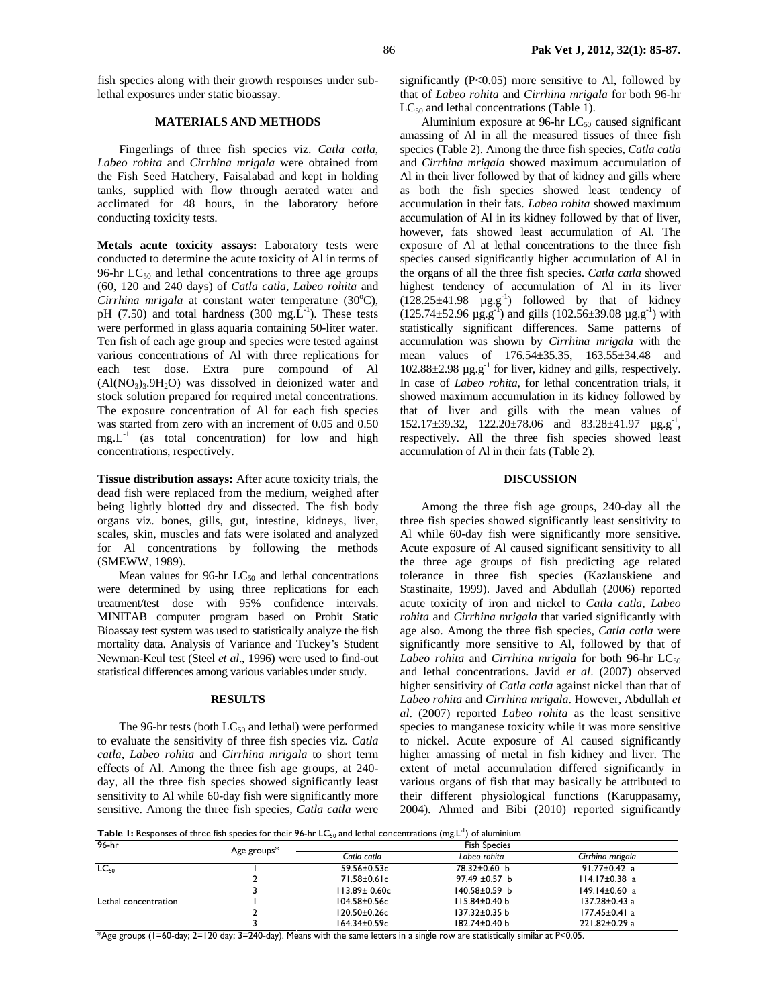fish species along with their growth responses under sublethal exposures under static bioassay.

## **MATERIALS AND METHODS**

Fingerlings of three fish species viz. *Catla catla*, *Labeo rohita* and *Cirrhina mrigala* were obtained from the Fish Seed Hatchery, Faisalabad and kept in holding tanks, supplied with flow through aerated water and acclimated for 48 hours, in the laboratory before conducting toxicity tests.

**Metals acute toxicity assays:** Laboratory tests were conducted to determine the acute toxicity of Al in terms of 96-hr  $LC_{50}$  and lethal concentrations to three age groups (60, 120 and 240 days) of *Catla catla*, *Labeo rohita* and Cirrhina mrigala at constant water temperature (30°C), pH (7.50) and total hardness (300 mg. $L^{-1}$ ). These tests were performed in glass aquaria containing 50-liter water. Ten fish of each age group and species were tested against various concentrations of Al with three replications for each test dose. Extra pure compound of Al  $(AI(NO<sub>3</sub>)<sub>3</sub>.9H<sub>2</sub>O)$  was dissolved in deionized water and stock solution prepared for required metal concentrations. The exposure concentration of Al for each fish species was started from zero with an increment of 0.05 and 0.50  $mg.L^{-1}$  (as total concentration) for low and high concentrations, respectively.

**Tissue distribution assays:** After acute toxicity trials, the dead fish were replaced from the medium, weighed after being lightly blotted dry and dissected. The fish body organs viz. bones, gills, gut, intestine, kidneys, liver, scales, skin, muscles and fats were isolated and analyzed for Al concentrations by following the methods (SMEWW, 1989).

Mean values for 96-hr  $LC_{50}$  and lethal concentrations were determined by using three replications for each treatment/test dose with 95% confidence intervals. MINITAB computer program based on Probit Static Bioassay test system was used to statistically analyze the fish mortality data. Analysis of Variance and Tuckey's Student Newman-Keul test (Steel *et al*., 1996) were used to find-out statistical differences among various variables under study.

## **RESULTS**

The 96-hr tests (both  $LC_{50}$  and lethal) were performed to evaluate the sensitivity of three fish species viz. *Catla catla*, *Labeo rohita* and *Cirrhina mrigala* to short term effects of Al. Among the three fish age groups, at 240 day, all the three fish species showed significantly least sensitivity to Al while 60-day fish were significantly more sensitive. Among the three fish species, *Catla catla* were

significantly  $(P<0.05)$  more sensitive to Al, followed by that of *Labeo rohita* and *Cirrhina mrigala* for both 96-hr  $LC_{50}$  and lethal concentrations (Table 1).

Aluminium exposure at  $96\text{-}$ hr LC<sub>50</sub> caused significant amassing of Al in all the measured tissues of three fish species (Table 2). Among the three fish species, *Catla catla* and *Cirrhina mrigala* showed maximum accumulation of Al in their liver followed by that of kidney and gills where as both the fish species showed least tendency of accumulation in their fats. *Labeo rohita* showed maximum accumulation of Al in its kidney followed by that of liver, however, fats showed least accumulation of Al. The exposure of Al at lethal concentrations to the three fish species caused significantly higher accumulation of Al in the organs of all the three fish species. *Catla catla* showed highest tendency of accumulation of Al in its liver  $(128.25 \pm 41.98 \mu g. g^{-1})$  followed by that of kidney  $(125.74 \pm 52.96 \,\mu\text{g} \cdot \text{g}^{-1})$  and gills  $(102.56 \pm 39.08 \,\mu\text{g} \cdot \text{g}^{-1})$  with statistically significant differences. Same patterns of accumulation was shown by *Cirrhina mrigala* with the mean values of 176.54±35.35, 163.55±34.48 and  $102.88\pm2.98$   $\mu$ g.g<sup>-1</sup> for liver, kidney and gills, respectively. In case of *Labeo rohita*, for lethal concentration trials, it showed maximum accumulation in its kidney followed by that of liver and gills with the mean values of  $152.17\pm39.32$ ,  $122.20\pm78.06$  and  $83.28\pm41.97$   $\mu$ g.g<sup>-1</sup>, respectively. All the three fish species showed least accumulation of Al in their fats (Table 2).

### **DISCUSSION**

Among the three fish age groups, 240-day all the three fish species showed significantly least sensitivity to Al while 60-day fish were significantly more sensitive. Acute exposure of Al caused significant sensitivity to all the three age groups of fish predicting age related tolerance in three fish species (Kazlauskiene and Stastinaite, 1999). Javed and Abdullah (2006) reported acute toxicity of iron and nickel to *Catla catla*, *Labeo rohita* and *Cirrhina mrigala* that varied significantly with age also. Among the three fish species, *Catla catla* were significantly more sensitive to Al, followed by that of Labeo rohita and *Cirrhina mrigala* for both 96-hr LC<sub>50</sub> and lethal concentrations. Javid *et al*. (2007) observed higher sensitivity of *Catla catla* against nickel than that of *Labeo rohita* and *Cirrhina mrigala*. However, Abdullah *et al*. (2007) reported *Labeo rohita* as the least sensitive species to manganese toxicity while it was more sensitive to nickel. Acute exposure of Al caused significantly higher amassing of metal in fish kidney and liver. The extent of metal accumulation differed significantly in various organs of fish that may basically be attributed to their different physiological functions (Karuppasamy, 2004). Ahmed and Bibi (2010) reported significantly

Table 1: Responses of three fish species for their 96-hr LC<sub>50</sub> and lethal concentrations (mg.L<sup>-1</sup>) of aluminium

| $96-hr$              | Age groups* | <b>Fish Species</b> |                     |                     |  |
|----------------------|-------------|---------------------|---------------------|---------------------|--|
|                      |             | Catla catla         | Labeo rohita        | Cirrhina mrigala    |  |
| $LC_{50}$            |             | 59.56±0.53c         | 78.32±0.60 b        | $91.77 \pm 0.42$ a  |  |
|                      |             | 71.58±0.61c         | 97.49 $\pm$ 0.57 b  | $114.17\pm0.38$ a   |  |
|                      |             | 113.89± 0.60c       | $140.58 \pm 0.59$ b | $149.14 \pm 0.60$ a |  |
| Lethal concentration |             | $104.58 \pm 0.56c$  | $115.84 \pm 0.40$ b | 137.28±0.43 a       |  |
|                      |             | $120.50 \pm 0.26c$  | 137.32±0.35 b       | $177.45 \pm 0.41$ a |  |
|                      |             | 164.34±0.59c        | 182.74±0.40 b       | 221.82±0.29 a       |  |

\*Age groups (1=60-day; 2=120 day; 3=240-day). Means with the same letters in a single row are statistically similar at P<0.05.